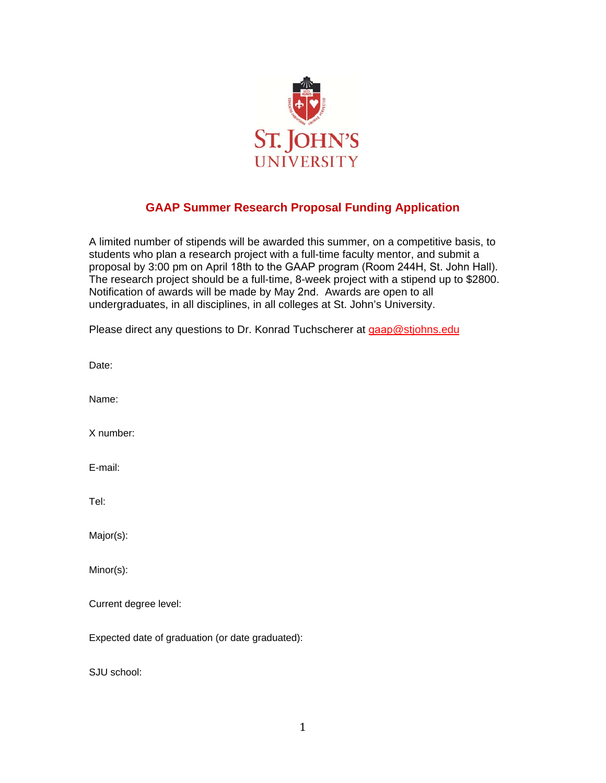

## **GAAP Summer Research Proposal Funding Application**

A limited number of stipends will be awarded this summer, on a competitive basis, to students who plan a research project with a full-time faculty mentor, and submit a proposal by 3:00 pm on April 18th to the GAAP program (Room 244H, St. John Hall). The research project should be a full-time, 8-week project with a stipend up to \$2800. Notification of awards will be made by May 2nd. Awards are open to all undergraduates, in all disciplines, in all colleges at St. John's University.

| Please direct any questions to Dr. Konrad Tuchscherer at gaap@stjohns.edu |  |
|---------------------------------------------------------------------------|--|

Date: Name: X number: E-mail: Tel: Major(s): Minor(s): Current degree level: Expected date of graduation (or date graduated):

SJU school: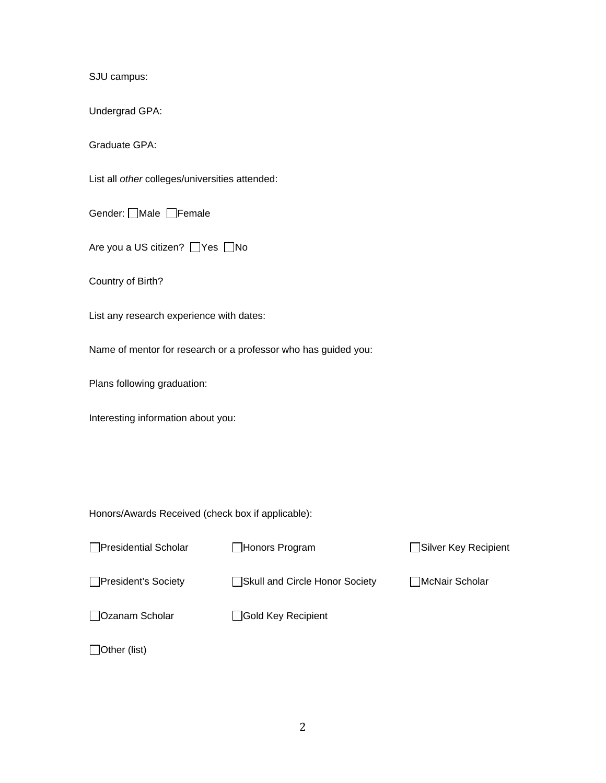SJU campus:

Undergrad GPA:

Graduate GPA:

List all *other* colleges/universities attended:

Gender: **OMale OFemale** 

Are you a US citizen? Nes  $\Box$  No

Country of Birth?

List any research experience with dates:

Name of mentor for research or a professor who has guided you:

Plans following graduation:

Interesting information about you:

Honors/Awards Received (check box if applicable):

| □ Presidential Scholar | Honors Program                 | <b>□Silver Key Recipient</b> |
|------------------------|--------------------------------|------------------------------|
| □President's Society   | Skull and Circle Honor Society | □McNair Scholar              |
| □ Ozanam Scholar       | Gold Key Recipient             |                              |
| Other (list)           |                                |                              |